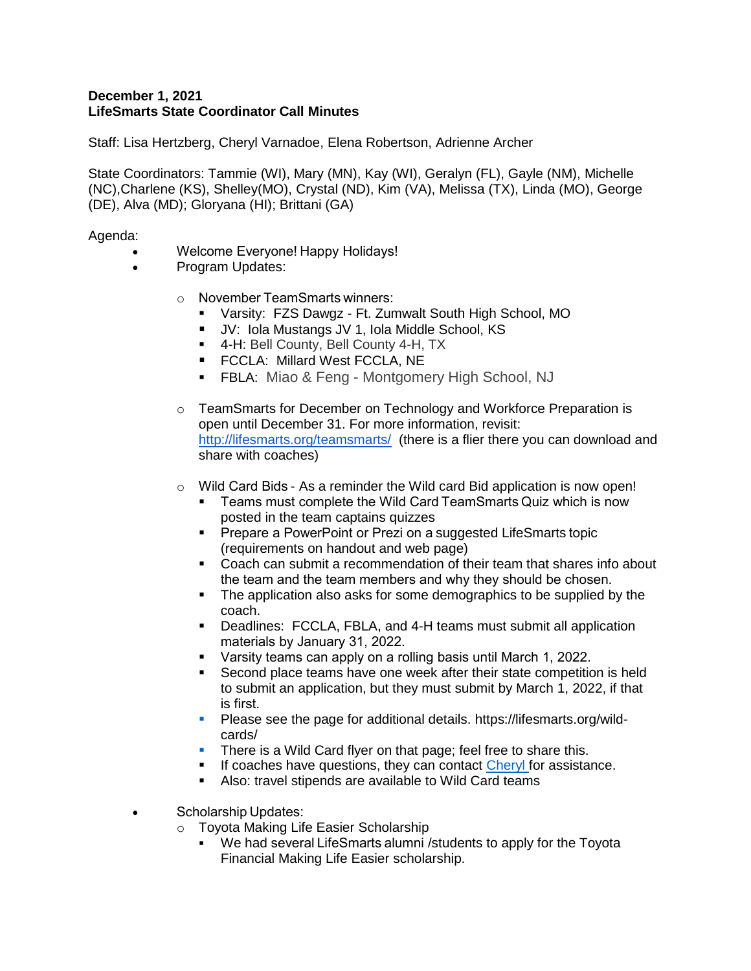## **December 1, 2021 LifeSmarts State Coordinator Call Minutes**

Staff: Lisa Hertzberg, Cheryl Varnadoe, Elena Robertson, Adrienne Archer

State Coordinators: Tammie (WI), Mary (MN), Kay (WI), Geralyn (FL), Gayle (NM), Michelle (NC),Charlene (KS), Shelley(MO), Crystal (ND), Kim (VA), Melissa (TX), Linda (MO), George (DE), Alva (MD); Gloryana (HI); Brittani (GA)

Agenda:

- Welcome Everyone! Happy Holidays!
- Program Updates:
	- o November TeamSmarts winners:
		- Varsity: FZS Dawgz Ft. Zumwalt South High School, MO
		- JV: Iola Mustangs JV 1, Iola Middle School, KS
		- 4-H: Bell County, Bell County 4-H, TX
		- **FCCLA: Millard West FCCLA, NE**
		- **FBLA: Miao & Feng Montgomery High School, NJ**
	- o TeamSmarts for December on Technology and Workforce Preparation is open until December 31. For more information, revisit: <http://lifesmarts.org/teamsmarts/> (there is a flier there you can download and share with coaches)
	- o Wild Card Bids - As a reminder the Wild card Bid application is now open!
		- Teams must complete the Wild Card TeamSmarts Quiz which is now posted in the team captains quizzes
		- Prepare a PowerPoint or Prezi on a suggested LifeSmarts topic (requirements on handout and web page)
		- Coach can submit a recommendation of their team that shares info about the team and the team members and why they should be chosen.
		- The application also asks for some demographics to be supplied by the coach.
		- Deadlines: FCCLA, FBLA, and 4-H teams must submit all application materials by January 31, 2022.
		- Varsity teams can apply on a rolling basis until March 1, 2022.
		- Second place teams have one week after their state competition is held to submit an application, but they must submit by March 1, 2022, if that is first.
		- Please see the page for additional details. https://lifesmarts.org/wildcards/
		- There is a Wild Card flyer on that page; feel free to share this.
		- If coaches have questions, they can contact [Cheryl](mailto:%20Cherylv@nclnet.org) for assistance.
		- Also: travel stipends are available to Wild Card teams
- Scholarship Updates:
	- o Toyota Making Life Easier Scholarship
		- We had several LifeSmarts alumni / students to apply for the Toyota Financial Making Life Easier scholarship.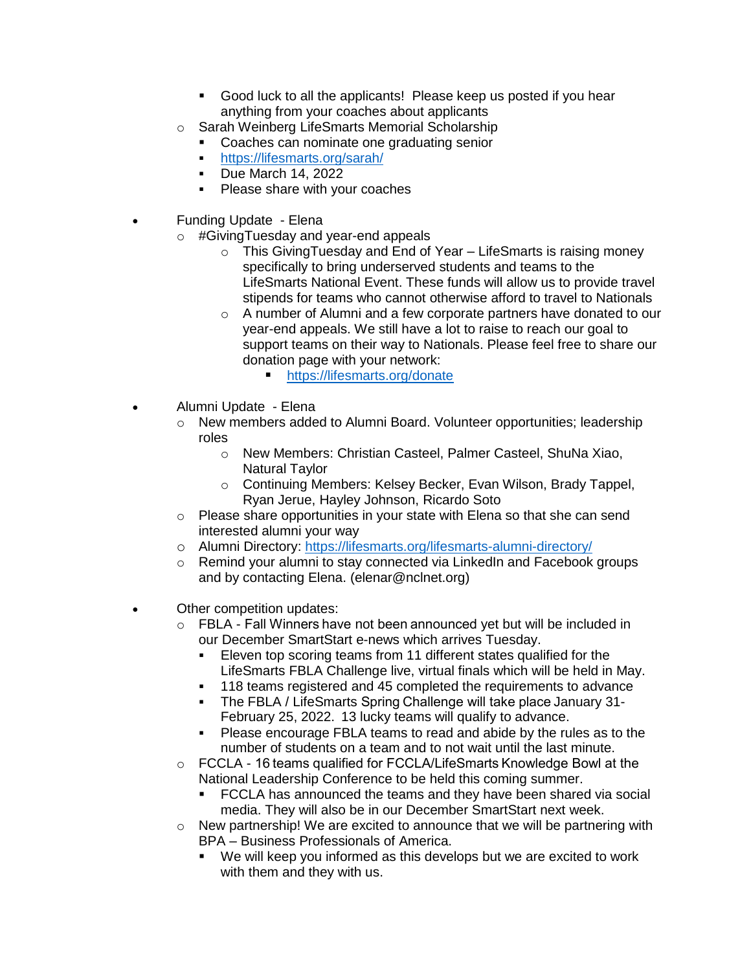- Good luck to all the applicants! Please keep us posted if you hear anything from your coaches about applicants
- o Sarah Weinberg LifeSmarts Memorial Scholarship
	- **Coaches can nominate one graduating senior**
	- <https://lifesmarts.org/sarah/>
	- **Due March 14, 2022**
	- Please share with your coaches
- Funding Update Elena
	- o #GivingTuesday and year-end appeals
		- o This GivingTuesday and End of Year LifeSmarts is raising money specifically to bring underserved students and teams to the LifeSmarts National Event. These funds will allow us to provide travel stipends for teams who cannot otherwise afford to travel to Nationals
		- o A number of Alumni and a few corporate partners have donated to our year-end appeals. We still have a lot to raise to reach our goal to support teams on their way to Nationals. Please feel free to share our donation page with your network:
			- <https://lifesmarts.org/donate>
- Alumni Update Elena
	- o New members added to Alumni Board. Volunteer opportunities; leadership roles
		- o New Members: Christian Casteel, Palmer Casteel, ShuNa Xiao, Natural Taylor
		- o Continuing Members: Kelsey Becker, Evan Wilson, Brady Tappel, Ryan Jerue, Hayley Johnson, Ricardo Soto
	- o Please share opportunities in your state with Elena so that she can send interested alumni your way
	- o Alumni Directory:<https://lifesmarts.org/lifesmarts-alumni-directory/>
	- o Remind your alumni to stay connected via LinkedIn and Facebook groups and by contacting Elena. (elenar@nclnet.org)
- Other competition updates:
	- o FBLA Fall Winners have not been announced yet but will be included in our December SmartStart e-news which arrives Tuesday.
		- Eleven top scoring teams from 11 different states qualified for the LifeSmarts FBLA Challenge live, virtual finals which will be held in May.
		- 118 teams registered and 45 completed the requirements to advance
		- The FBLA / LifeSmarts Spring Challenge will take place January 31- February 25, 2022. 13 lucky teams will qualify to advance.
		- Please encourage FBLA teams to read and abide by the rules as to the number of students on a team and to not wait until the last minute.
	- o FCCLA 16 teams qualified for FCCLA/LifeSmarts Knowledge Bowl at the National Leadership Conference to be held this coming summer.
		- FCCLA has announced the teams and they have been shared via social media. They will also be in our December SmartStart next week.
	- $\circ$  New partnership! We are excited to announce that we will be partnering with BPA – Business Professionals of America.
		- We will keep you informed as this develops but we are excited to work with them and they with us.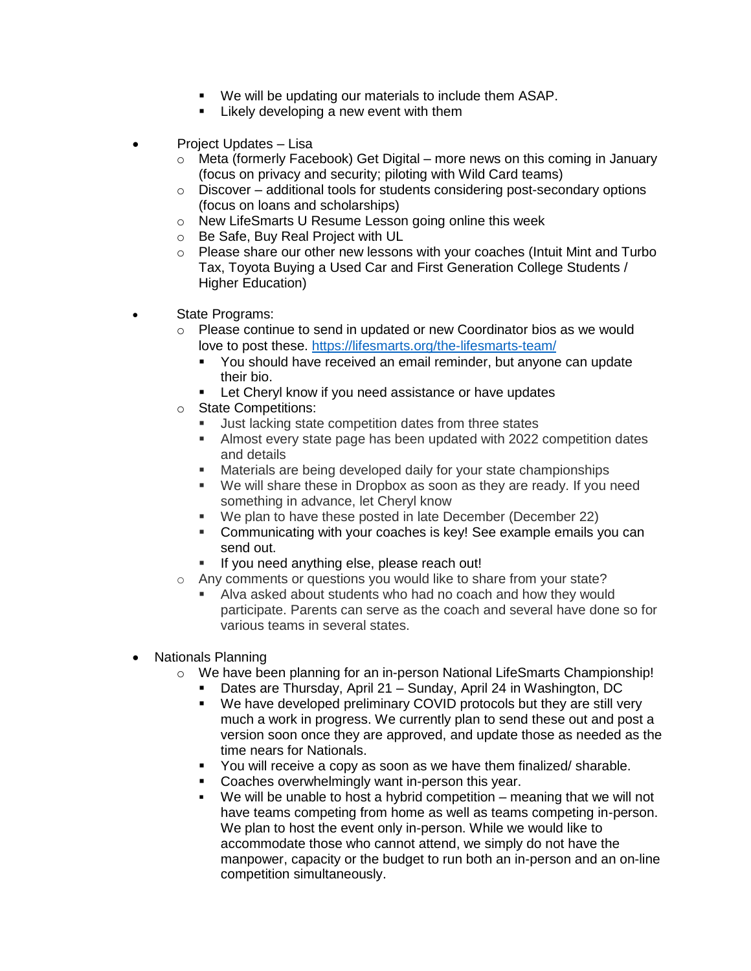- We will be updating our materials to include them ASAP.
- **EXECT** Likely developing a new event with them
- Project Updates Lisa
	- $\circ$  Meta (formerly Facebook) Get Digital more news on this coming in January (focus on privacy and security; piloting with Wild Card teams)
	- o Discover additional tools for students considering post-secondary options (focus on loans and scholarships)
	- o New LifeSmarts U Resume Lesson going online this week
	- o Be Safe, Buy Real Project with UL
	- $\circ$  Please share our other new lessons with your coaches (Intuit Mint and Turbo Tax, Toyota Buying a Used Car and First Generation College Students / Higher Education)
- State Programs:
	- o Please continue to send in updated or new Coordinator bios as we would love to post these.<https://lifesmarts.org/the-lifesmarts-team/>
		- You should have received an email reminder, but anyone can update their bio.
		- **Let Cheryl know if you need assistance or have updates**
	- o State Competitions:
		- Just lacking state competition dates from three states
		- Almost every state page has been updated with 2022 competition dates and details
		- Materials are being developed daily for your state championships
		- We will share these in Dropbox as soon as they are ready. If you need something in advance, let Cheryl know
		- We plan to have these posted in late December (December 22)
		- Communicating with your coaches is key! See example emails you can send out.
		- If you need anything else, please reach out!
	- o Any comments or questions you would like to share from your state?
		- Alva asked about students who had no coach and how they would participate. Parents can serve as the coach and several have done so for various teams in several states.
- Nationals Planning
	- $\circ$  We have been planning for an in-person National LifeSmarts Championship!
		- Dates are Thursday, April 21 Sunday, April 24 in Washington, DC
		- **We have developed preliminary COVID protocols but they are still very** much a work in progress. We currently plan to send these out and post a version soon once they are approved, and update those as needed as the time nears for Nationals.
		- You will receive a copy as soon as we have them finalized/ sharable.
		- Coaches overwhelmingly want in-person this year.
		- We will be unable to host a hybrid competition meaning that we will not have teams competing from home as well as teams competing in-person. We plan to host the event only in-person. While we would like to accommodate those who cannot attend, we simply do not have the manpower, capacity or the budget to run both an in-person and an on-line competition simultaneously.